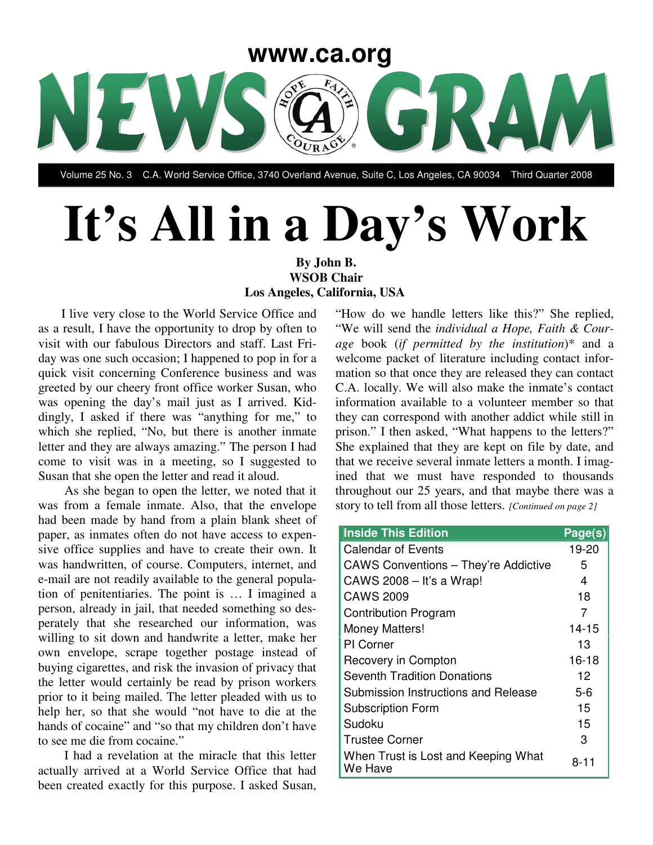

Volume 25 No. 3 C.A. World Service Office, 3740 Overland Avenue, Suite C, Los Angeles, CA 90034 Third Quarter 2008

# **It's All in a Day's Work**

#### **By John B. WSOB Chair Los Angeles, California, USA**

I live very close to the World Service Office and as a result, I have the opportunity to drop by often to visit with our fabulous Directors and staff. Last Friday was one such occasion; I happened to pop in for a quick visit concerning Conference business and was greeted by our cheery front office worker Susan, who was opening the day's mail just as I arrived. Kiddingly, I asked if there was "anything for me," to which she replied, "No, but there is another inmate letter and they are always amazing." The person I had come to visit was in a meeting, so I suggested to Susan that she open the letter and read it aloud.

As she began to open the letter, we noted that it was from a female inmate. Also, that the envelope had been made by hand from a plain blank sheet of paper, as inmates often do not have access to expensive office supplies and have to create their own. It was handwritten, of course. Computers, internet, and e-mail are not readily available to the general population of penitentiaries. The point is … I imagined a person, already in jail, that needed something so desperately that she researched our information, was willing to sit down and handwrite a letter, make her own envelope, scrape together postage instead of buying cigarettes, and risk the invasion of privacy that the letter would certainly be read by prison workers prior to it being mailed. The letter pleaded with us to help her, so that she would "not have to die at the hands of cocaine" and "so that my children don't have to see me die from cocaine."

I had a revelation at the miracle that this letter actually arrived at a World Service Office that had been created exactly for this purpose. I asked Susan,

"How do we handle letters like this?" She replied, "We will send the *individual a Hope, Faith & Courage* book (*if permitted by the institution*)\* and a welcome packet of literature including contact information so that once they are released they can contact C.A. locally. We will also make the inmate's contact information available to a volunteer member so that they can correspond with another addict while still in prison." I then asked, "What happens to the letters?" She explained that they are kept on file by date, and that we receive several inmate letters a month. I imagined that we must have responded to thousands throughout our 25 years, and that maybe there was a story to tell from all those letters. *[Continued on page 2]*

| <b>Inside This Edition</b>                     | Page(s)   |
|------------------------------------------------|-----------|
| <b>Calendar of Events</b>                      | 19-20     |
| <b>CAWS Conventions - They're Addictive</b>    | 5         |
| CAWS 2008 - It's a Wrap!                       | 4         |
| <b>CAWS 2009</b>                               | 18        |
| <b>Contribution Program</b>                    | 7         |
| Money Matters!                                 | $14 - 15$ |
| PI Corner                                      | 13        |
| Recovery in Compton                            | $16 - 18$ |
| <b>Seventh Tradition Donations</b>             | 12        |
| Submission Instructions and Release            | 5-6       |
| <b>Subscription Form</b>                       | 15        |
| Sudoku                                         | 15        |
| <b>Trustee Corner</b>                          | З         |
| When Trust is Lost and Keeping What<br>We Have | 8-11      |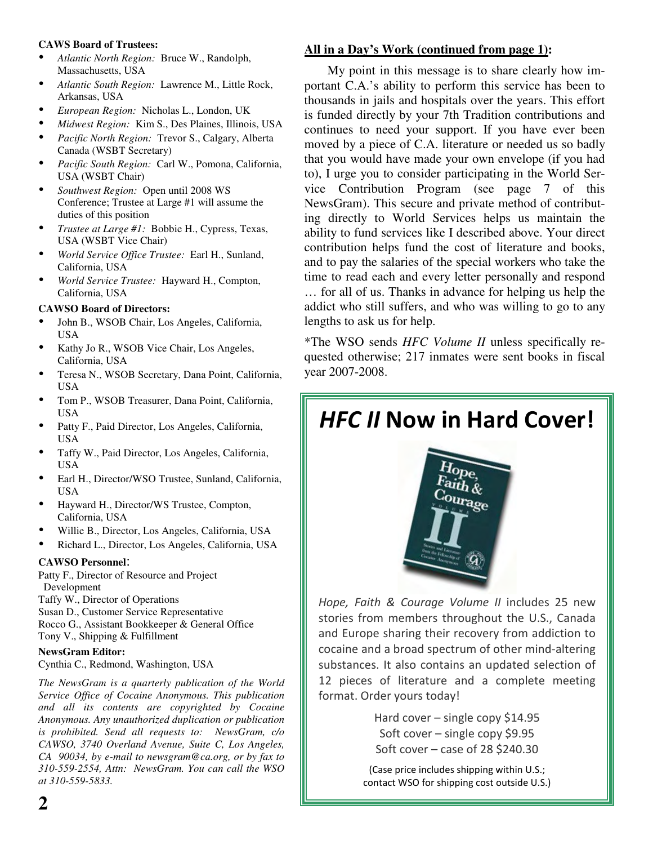#### **CAWS Board of Trustees:**

- *Atlantic North Region:* Bruce W., Randolph, Massachusetts, USA
- *Atlantic South Region:* Lawrence M., Little Rock, Arkansas, USA
- *European Region:* Nicholas L., London, UK
- *Midwest Region:* Kim S., Des Plaines, Illinois, USA
- *Pacific North Region:* Trevor S., Calgary, Alberta Canada (WSBT Secretary)
- *Pacific South Region:* Carl W., Pomona, California, USA (WSBT Chair)
- *Southwest Region:* Open until 2008 WS Conference; Trustee at Large #1 will assume the duties of this position
- *Trustee at Large #1:* Bobbie H., Cypress, Texas, USA (WSBT Vice Chair)
- *World Service Office Trustee:* Earl H., Sunland, California, USA
- *World Service Trustee:* Hayward H., Compton, California, USA

#### **CAWSO Board of Directors:**

- John B., WSOB Chair, Los Angeles, California, USA
- Kathy Jo R., WSOB Vice Chair, Los Angeles, California, USA
- Teresa N., WSOB Secretary, Dana Point, California, USA
- Tom P., WSOB Treasurer, Dana Point, California, USA
- Patty F., Paid Director, Los Angeles, California, USA
- Taffy W., Paid Director, Los Angeles, California, USA
- Earl H., Director/WSO Trustee, Sunland, California, USA
- Hayward H., Director/WS Trustee, Compton, California, USA
- Willie B., Director, Los Angeles, California, USA
- Richard L., Director, Los Angeles, California, USA

#### **CAWSO Personnel**:

Patty F., Director of Resource and Project Development

Taffy W., Director of Operations

Susan D., Customer Service Representative

Rocco G., Assistant Bookkeeper & General Office Tony V., Shipping & Fulfillment

#### **NewsGram Editor:**

Cynthia C., Redmond, Washington, USA

*The NewsGram is a quarterly publication of the World Service Office of Cocaine Anonymous. This publication and all its contents are copyrighted by Cocaine Anonymous. Any unauthorized duplication or publication is prohibited. Send all requests to: NewsGram, c/o CAWSO, 3740 Overland Avenue, Suite C, Los Angeles, CA 90034, by e-mail to newsgram@ca.org, or by fax to 310-559-2554, Attn: NewsGram. You can call the WSO at 310-559-5833.*

#### **All in a Day's Work (continued from page 1):**

My point in this message is to share clearly how important C.A.'s ability to perform this service has been to thousands in jails and hospitals over the years. This effort is funded directly by your 7th Tradition contributions and continues to need your support. If you have ever been moved by a piece of C.A. literature or needed us so badly that you would have made your own envelope (if you had to), I urge you to consider participating in the World Service Contribution Program (see page 7 of this NewsGram). This secure and private method of contributing directly to World Services helps us maintain the ability to fund services like I described above. Your direct contribution helps fund the cost of literature and books, and to pay the salaries of the special workers who take the time to read each and every letter personally and respond … for all of us. Thanks in advance for helping us help the addict who still suffers, and who was willing to go to any lengths to ask us for help.

\*The WSO sends *HFC Volume II* unless specifically requested otherwise; 217 inmates were sent books in fiscal year 2007-2008.

## HFC II Now in Hard Cover!



Hope, Faith & Courage Volume II includes 25 new stories from members throughout the U.S., Canada and Europe sharing their recovery from addiction to cocaine and a broad spectrum of other mind-altering substances. It also contains an updated selection of 12 pieces of literature and a complete meeting format. Order yours today!

> Hard cover - single copy \$14.95 Soft cover - single copy \$9.95 Soft cover  $-$  case of 28 \$240.30

(Case price includes shipping within U.S.; contact WSO for shipping cost outside U.S.)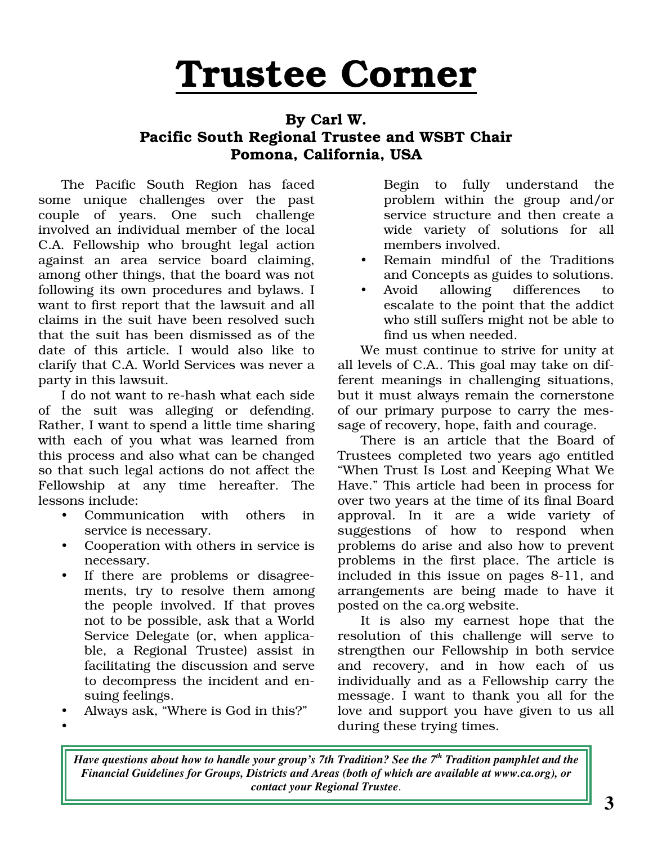# Trustee Corner

#### By Carl W. Pacific South Regional Trustee and WSBT Chair Pomona, California, USA

The Pacific South Region has faced some unique challenges over the past couple of years. One such challenge involved an individual member of the local C.A. Fellowship who brought legal action against an area service board claiming, among other things, that the board was not following its own procedures and bylaws. I want to first report that the lawsuit and all claims in the suit have been resolved such that the suit has been dismissed as of the date of this article. I would also like to clarify that C.A. World Services was never a party in this lawsuit.

I do not want to re-hash what each side of the suit was alleging or defending. Rather, I want to spend a little time sharing with each of you what was learned from this process and also what can be changed so that such legal actions do not affect the Fellowship at any time hereafter. The lessons include:

- Communication with others in service is necessary.
- Cooperation with others in service is necessary.
- If there are problems or disagreements, try to resolve them among the people involved. If that proves not to be possible, ask that a World Service Delegate (or, when applicable, a Regional Trustee) assist in facilitating the discussion and serve to decompress the incident and ensuing feelings.
- Always ask, "Where is God in this?"  $\bullet$

Begin to fully understand the problem within the group and/or service structure and then create a wide variety of solutions for all members involved.

- Remain mindful of the Traditions and Concepts as guides to solutions.
- Avoid allowing differences to escalate to the point that the addict who still suffers might not be able to find us when needed.

We must continue to strive for unity at all levels of C.A.. This goal may take on different meanings in challenging situations, but it must always remain the cornerstone of our primary purpose to carry the message of recovery, hope, faith and courage.

There is an article that the Board of Trustees completed two years ago entitled "When Trust Is Lost and Keeping What We Have." This article had been in process for over two years at the time of its final Board approval. In it are a wide variety of suggestions of how to respond when problems do arise and also how to prevent problems in the first place. The article is included in this issue on pages 8-11, and arrangements are being made to have it posted on the ca.org website.

It is also my earnest hope that the resolution of this challenge will serve to strengthen our Fellowship in both service and recovery, and in how each of us individually and as a Fellowship carry the message. I want to thank you all for the love and support you have given to us all during these trying times.

Have questions about how to handle your group's 7th Tradition? See the 7<sup>th</sup> Tradition pamphlet and the *Financial Guidelines for Groups, Districts and Areas (both of which are available at www.ca.org), or contact your Regional Trustee*.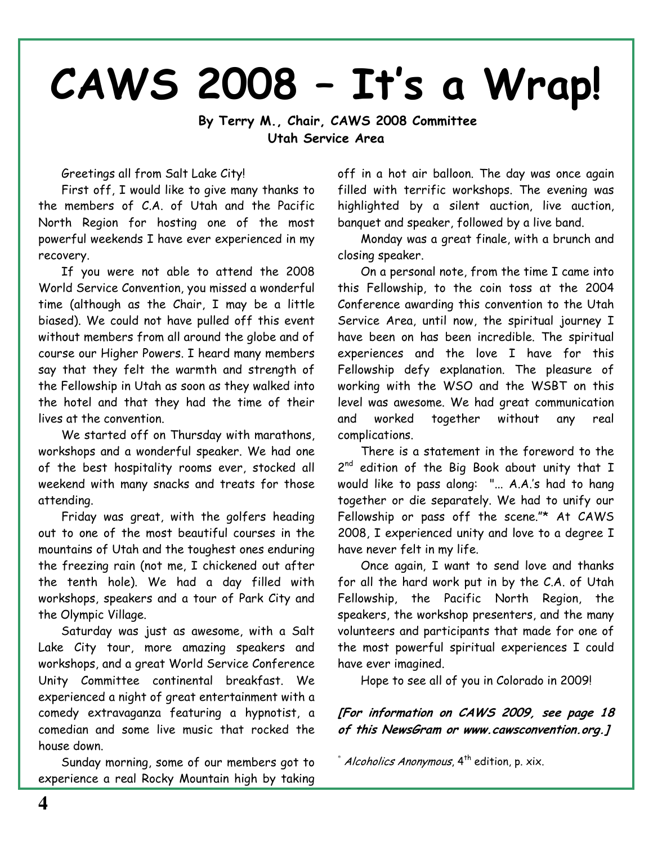# CAWS 2008 - It's a Wrap!

By Terry M., Chair, CAWS 2008 Committee Utah Service Area

Greetings all from Salt Lake City!

First off, I would like to give many thanks to the members of C.A. of Utah and the Pacific North Region for hosting one of the most powerful weekends I have ever experienced in my recovery.

If you were not able to attend the 2008 World Service Convention, you missed a wonderful time (although as the Chair, I may be a little biased). We could not have pulled off this event without members from all around the globe and of course our Higher Powers. I heard many members say that they felt the warmth and strength of the Fellowship in Utah as soon as they walked into the hotel and that they had the time of their lives at the convention.

We started off on Thursday with marathons, workshops and a wonderful speaker. We had one of the best hospitality rooms ever, stocked all weekend with many snacks and treats for those attending.

Friday was great, with the golfers heading out to one of the most beautiful courses in the mountains of Utah and the toughest ones enduring the freezing rain (not me, I chickened out after the tenth hole). We had a day filled with workshops, speakers and a tour of Park City and the Olympic Village.

Saturday was just as awesome, with a Salt Lake City tour, more amazing speakers and workshops, and a great World Service Conference Unity Committee continental breakfast. We experienced a night of great entertainment with a comedy extravaganza featuring a hypnotist, a comedian and some live music that rocked the house down.

Sunday morning, some of our members got to experience a real Rocky Mountain high by taking

off in a hot air balloon. The day was once again filled with terrific workshops. The evening was highlighted by a silent auction, live auction, banquet and speaker, followed by a live band.

Monday was a great finale, with a brunch and closing speaker.

On a personal note, from the time I came into this Fellowship, to the coin toss at the 2004 Conference awarding this convention to the Utah Service Area, until now, the spiritual journey I have been on has been incredible. The spiritual experiences and the love I have for this Fellowship defy explanation. The pleasure of working with the WSO and the WSBT on this level was awesome. We had great communication and worked together without any real complications.

There is a statement in the foreword to the 2nd edition of the Big Book about unity that I would like to pass along: "... A.A.'s had to hang together or die separately. We had to unify our Fellowship or pass off the scene."\* At CAWS 2008, I experienced unity and love to a degree I have never felt in my life.

Once again. I want to send love and thanks for all the hard work put in by the C.A. of Utah Fellowship, the Pacific North Region, the speakers, the workshop presenters, and the many volunteers and participants that made for one of the most powerful spiritual experiences I could have ever imagined.

Hope to see all of you in Colorado in 2009!

[For information on CAWS 2009, see page 18 of this NewsGram or www.cawsconvention.org.]

\* Alcoholics Anonymous, 4<sup>th</sup> edition, p. xix.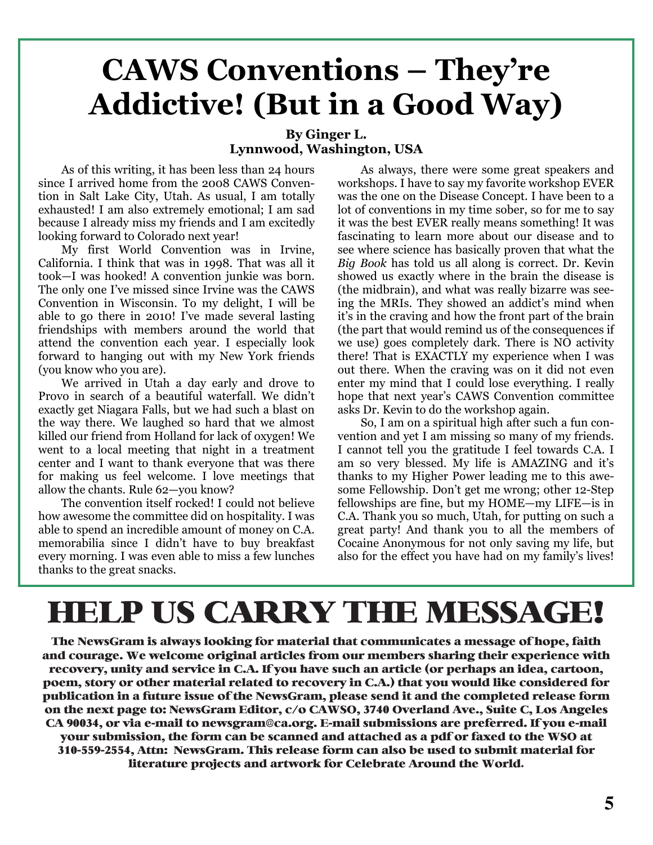## **CAWS Conventions - They're Addictive!** (But in a Good Way)

#### By Ginger L. Lynnwood, Washington, USA

As of this writing, it has been less than 24 hours since I arrived home from the 2008 CAWS Convention in Salt Lake City, Utah. As usual, I am totally exhausted! I am also extremely emotional; I am sad because I already miss my friends and I am excitedly looking forward to Colorado next year!

My first World Convention was in Irvine, California. I think that was in 1998. That was all it took-I was hooked! A convention junkie was born. The only one I've missed since Irvine was the CAWS Convention in Wisconsin. To my delight, I will be able to go there in 2010! I've made several lasting friendships with members around the world that attend the convention each year. I especially look forward to hanging out with my New York friends (you know who you are).

We arrived in Utah a day early and drove to Provo in search of a beautiful waterfall. We didn't exactly get Niagara Falls, but we had such a blast on the way there. We laughed so hard that we almost killed our friend from Holland for lack of oxygen! We went to a local meeting that night in a treatment center and I want to thank everyone that was there for making us feel welcome. I love meetings that allow the chants. Rule 62-you know?

The convention itself rocked! I could not believe how awesome the committee did on hospitality. I was able to spend an incredible amount of money on C.A. memorabilia since I didn't have to buy breakfast every morning. I was even able to miss a few lunches thanks to the great snacks.

As always, there were some great speakers and workshops. I have to say my favorite workshop EVER was the one on the Disease Concept. I have been to a lot of conventions in my time sober, so for me to say it was the best EVER really means something! It was fascinating to learn more about our disease and to see where science has basically proven that what the Big Book has told us all along is correct. Dr. Kevin showed us exactly where in the brain the disease is (the midbrain), and what was really bizarre was seeing the MRIs. They showed an addict's mind when it's in the craving and how the front part of the brain (the part that would remind us of the consequences if we use) goes completely dark. There is NO activity there! That is EXACTLY my experience when I was out there. When the craving was on it did not even enter my mind that I could lose everything. I really hope that next year's CAWS Convention committee asks Dr. Kevin to do the workshop again.

So, I am on a spiritual high after such a fun convention and yet I am missing so many of my friends. I cannot tell you the gratitude I feel towards C.A. I am so very blessed. My life is AMAZING and it's thanks to my Higher Power leading me to this awesome Fellowship. Don't get me wrong; other 12-Step fellowships are fine, but my HOME—my LIFE—is in C.A. Thank you so much, Utah, for putting on such a great party! And thank you to all the members of Cocaine Anonymous for not only saving my life, but also for the effect you have had on my family's lives!

# **HELP US CARRY THE MESSAGE!**

The NewsGram is always looking for material that communicates a message of hope, faith and courage. We welcome original articles from our members sharing their experience with recovery, unity and service in C.A. If you have such an article (or perhaps an idea, cartoon, poem, story or other material related to recovery in C.A.) that you would like considered for publication in a future issue of the NewsGram, please send it and the completed release form on the next page to: NewsGram Editor, c/o CAWSO, 3740 Overland Ave., Suite C, Los Angeles CA 90034, or via e-mail to newsgram@ca.org. E-mail submissions are preferred. If you e-mail your submission, the form can be scanned and attached as a pdf or faxed to the WSO at 310-559-2554, Attn: NewsGram. This release form can also be used to submit material for literature projects and artwork for Celebrate Around the World.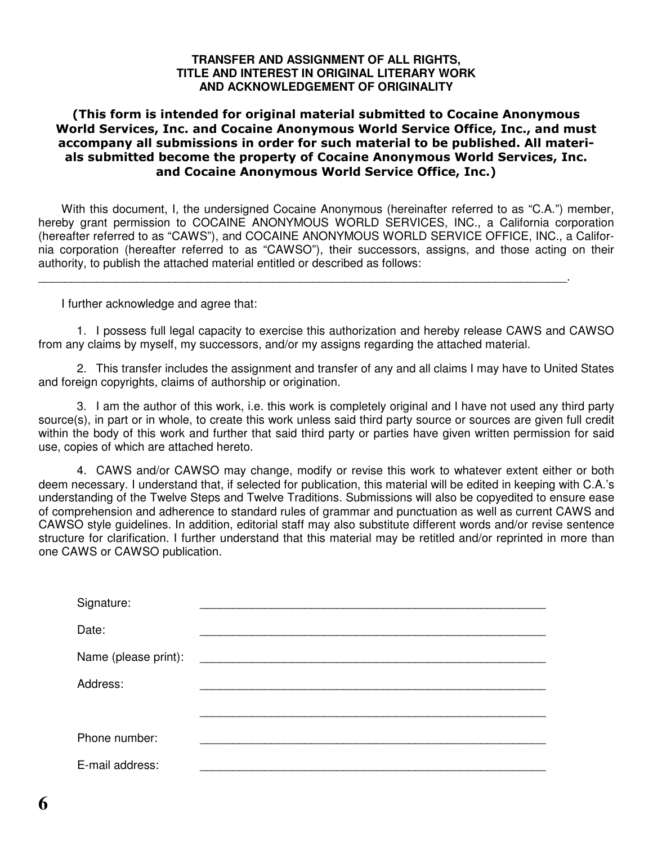#### **TRANSFER AND ASSIGNMENT OF ALL RIGHTS, TITLE AND INTEREST IN ORIGINAL LITERARY WORK AND ACKNOWLEDGEMENT OF ORIGINALITY**

#### (This form is intended for original material submitted to Cocaine Anonymous World Services, Inc. and Cocaine Anonymous World Service Office, Inc., and must accompany all submissions in order for such material to be published. All materials submitted become the property of Cocaine Anonymous World Services, Inc. and Cocaine Anonymous World Service Office, Inc.)

With this document, I, the undersigned Cocaine Anonymous (hereinafter referred to as "C.A.") member, hereby grant permission to COCAINE ANONYMOUS WORLD SERVICES, INC., a California corporation (hereafter referred to as "CAWS"), and COCAINE ANONYMOUS WORLD SERVICE OFFICE, INC., a California corporation (hereafter referred to as "CAWSO"), their successors, assigns, and those acting on their authority, to publish the attached material entitled or described as follows:

\_\_\_\_\_\_\_\_\_\_\_\_\_\_\_\_\_\_\_\_\_\_\_\_\_\_\_\_\_\_\_\_\_\_\_\_\_\_\_\_\_\_\_\_\_\_\_\_\_\_\_\_\_\_\_\_\_\_\_\_\_\_\_\_\_\_\_\_\_\_\_\_\_\_\_\_\_\_\_\_\_.

I further acknowledge and agree that:

1. I possess full legal capacity to exercise this authorization and hereby release CAWS and CAWSO from any claims by myself, my successors, and/or my assigns regarding the attached material.

2. This transfer includes the assignment and transfer of any and all claims I may have to United States and foreign copyrights, claims of authorship or origination.

3. I am the author of this work, i.e. this work is completely original and I have not used any third party source(s), in part or in whole, to create this work unless said third party source or sources are given full credit within the body of this work and further that said third party or parties have given written permission for said use, copies of which are attached hereto.

4. CAWS and/or CAWSO may change, modify or revise this work to whatever extent either or both deem necessary. I understand that, if selected for publication, this material will be edited in keeping with C.A.'s understanding of the Twelve Steps and Twelve Traditions. Submissions will also be copyedited to ensure ease of comprehension and adherence to standard rules of grammar and punctuation as well as current CAWS and CAWSO style guidelines. In addition, editorial staff may also substitute different words and/or revise sentence structure for clarification. I further understand that this material may be retitled and/or reprinted in more than one CAWS or CAWSO publication.

| Signature:           |  |
|----------------------|--|
| Date:                |  |
| Name (please print): |  |
| Address:             |  |
|                      |  |
| Phone number:        |  |
| E-mail address:      |  |
|                      |  |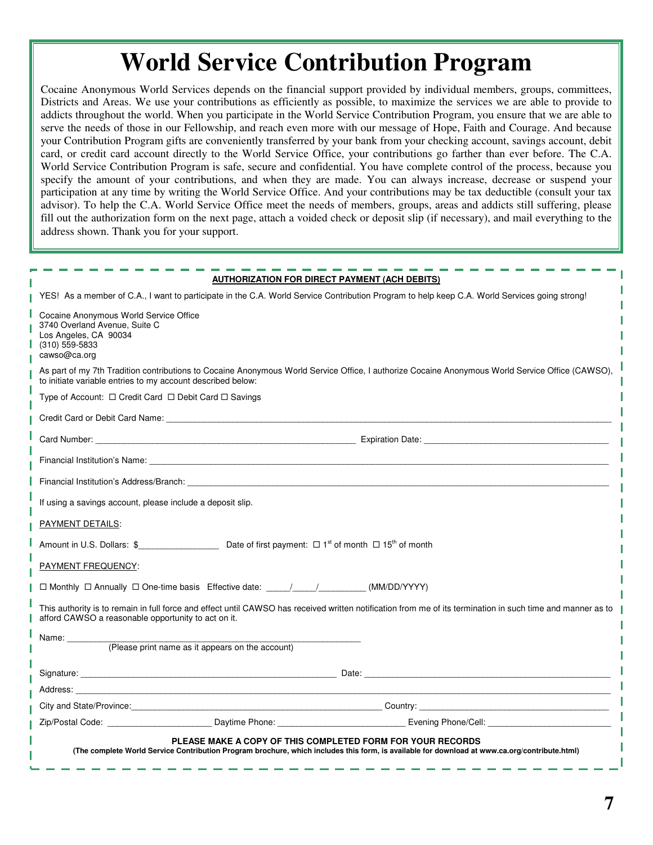## **World Service Contribution Program**

Cocaine Anonymous World Services depends on the financial support provided by individual members, groups, committees, Districts and Areas. We use your contributions as efficiently as possible, to maximize the services we are able to provide to addicts throughout the world. When you participate in the World Service Contribution Program, you ensure that we are able to serve the needs of those in our Fellowship, and reach even more with our message of Hope, Faith and Courage. And because your Contribution Program gifts are conveniently transferred by your bank from your checking account, savings account, debit card, or credit card account directly to the World Service Office, your contributions go farther than ever before. The C.A. World Service Contribution Program is safe, secure and confidential. You have complete control of the process, because you specify the amount of your contributions, and when they are made. You can always increase, decrease or suspend your participation at any time by writing the World Service Office. And your contributions may be tax deductible (consult your tax advisor). To help the C.A. World Service Office meet the needs of members, groups, areas and addicts still suffering, please fill out the authorization form on the next page, attach a voided check or deposit slip (if necessary), and mail everything to the address shown. Thank you for your support.

|                                                                                                                                      | <b>AUTHORIZATION FOR DIRECT PAYMENT (ACH DEBITS)</b>                                                                                                                                                                           |                                                                                                                                                                                                                                     |
|--------------------------------------------------------------------------------------------------------------------------------------|--------------------------------------------------------------------------------------------------------------------------------------------------------------------------------------------------------------------------------|-------------------------------------------------------------------------------------------------------------------------------------------------------------------------------------------------------------------------------------|
|                                                                                                                                      |                                                                                                                                                                                                                                | YES! As a member of C.A., I want to participate in the C.A. World Service Contribution Program to help keep C.A. World Services going strong!                                                                                       |
| Cocaine Anonymous World Service Office<br>3740 Overland Avenue, Suite C<br>Los Angeles, CA 90034<br>$(310)$ 559-5833<br>cawso@ca.org |                                                                                                                                                                                                                                |                                                                                                                                                                                                                                     |
| to initiate variable entries to my account described below:                                                                          |                                                                                                                                                                                                                                | As part of my 7th Tradition contributions to Cocaine Anonymous World Service Office, I authorize Cocaine Anonymous World Service Office (CAWSO),                                                                                    |
| Type of Account: □ Credit Card □ Debit Card □ Savings                                                                                |                                                                                                                                                                                                                                |                                                                                                                                                                                                                                     |
|                                                                                                                                      |                                                                                                                                                                                                                                |                                                                                                                                                                                                                                     |
|                                                                                                                                      |                                                                                                                                                                                                                                |                                                                                                                                                                                                                                     |
|                                                                                                                                      |                                                                                                                                                                                                                                |                                                                                                                                                                                                                                     |
|                                                                                                                                      | Financial Institution's Address/Branch: The Contract of the Contract of the Contract of the Contract of the Contract of the Contract of the Contract of the Contract of the Contract of the Contract of the Contract of the Co |                                                                                                                                                                                                                                     |
| If using a savings account, please include a deposit slip.                                                                           |                                                                                                                                                                                                                                |                                                                                                                                                                                                                                     |
| <b>PAYMENT DETAILS:</b>                                                                                                              |                                                                                                                                                                                                                                |                                                                                                                                                                                                                                     |
|                                                                                                                                      |                                                                                                                                                                                                                                |                                                                                                                                                                                                                                     |
| PAYMENT FREQUENCY:                                                                                                                   |                                                                                                                                                                                                                                |                                                                                                                                                                                                                                     |
|                                                                                                                                      | $\Box$ Monthly $\Box$ Annually $\Box$ One-time basis Effective date: $\angle$ / / (MM/DD/YYYY)                                                                                                                                 |                                                                                                                                                                                                                                     |
| afford CAWSO a reasonable opportunity to act on it.                                                                                  |                                                                                                                                                                                                                                | This authority is to remain in full force and effect until CAWSO has received written notification from me of its termination in such time and manner as to                                                                         |
| Name: _________                                                                                                                      |                                                                                                                                                                                                                                |                                                                                                                                                                                                                                     |
| (Please print name as it appears on the account)                                                                                     |                                                                                                                                                                                                                                |                                                                                                                                                                                                                                     |
|                                                                                                                                      |                                                                                                                                                                                                                                |                                                                                                                                                                                                                                     |
|                                                                                                                                      |                                                                                                                                                                                                                                |                                                                                                                                                                                                                                     |
|                                                                                                                                      |                                                                                                                                                                                                                                | City and State/Province: <u>Country:</u> Country: Country: Country: Country: Country: Country: Country: Country: Country: Country: Country: Country: Country: Country: Country: Country: Country: Country: Country: Country: Countr |
|                                                                                                                                      | Zip/Postal Code: Communication of Daytime Phone: Communication Communication Contract Code:                                                                                                                                    |                                                                                                                                                                                                                                     |
|                                                                                                                                      | PLEASE MAKE A COPY OF THIS COMPLETED FORM FOR YOUR RECORDS<br>(The complete World Service Contribution Program brochure, which includes this form, is available for download at www.ca.org/contribute.html)                    |                                                                                                                                                                                                                                     |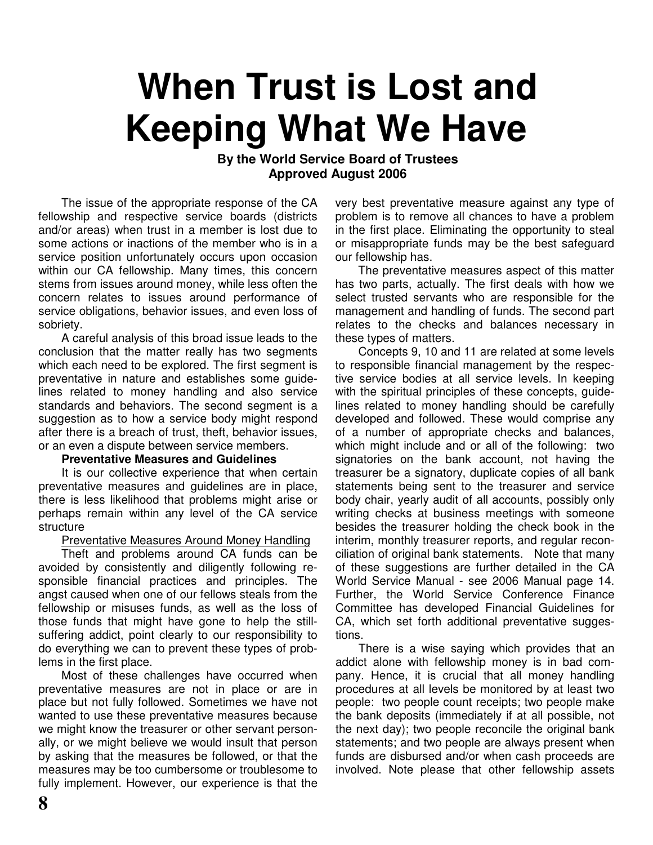# **When Trust is Lost and Keeping What We Have**

#### **By the World Service Board of Trustees Approved August 2006**

The issue of the appropriate response of the CA fellowship and respective service boards (districts and/or areas) when trust in a member is lost due to some actions or inactions of the member who is in a service position unfortunately occurs upon occasion within our CA fellowship. Many times, this concern stems from issues around money, while less often the concern relates to issues around performance of service obligations, behavior issues, and even loss of sobriety.

A careful analysis of this broad issue leads to the conclusion that the matter really has two segments which each need to be explored. The first segment is preventative in nature and establishes some guidelines related to money handling and also service standards and behaviors. The second segment is a suggestion as to how a service body might respond after there is a breach of trust, theft, behavior issues, or an even a dispute between service members.

#### **Preventative Measures and Guidelines**

It is our collective experience that when certain preventative measures and guidelines are in place, there is less likelihood that problems might arise or perhaps remain within any level of the CA service structure

#### Preventative Measures Around Money Handling

Theft and problems around CA funds can be avoided by consistently and diligently following responsible financial practices and principles. The angst caused when one of our fellows steals from the fellowship or misuses funds, as well as the loss of those funds that might have gone to help the stillsuffering addict, point clearly to our responsibility to do everything we can to prevent these types of problems in the first place.

Most of these challenges have occurred when preventative measures are not in place or are in place but not fully followed. Sometimes we have not wanted to use these preventative measures because we might know the treasurer or other servant personally, or we might believe we would insult that person by asking that the measures be followed, or that the measures may be too cumbersome or troublesome to fully implement. However, our experience is that the

very best preventative measure against any type of problem is to remove all chances to have a problem in the first place. Eliminating the opportunity to steal or misappropriate funds may be the best safeguard our fellowship has.

The preventative measures aspect of this matter has two parts, actually. The first deals with how we select trusted servants who are responsible for the management and handling of funds. The second part relates to the checks and balances necessary in these types of matters.

Concepts 9, 10 and 11 are related at some levels to responsible financial management by the respective service bodies at all service levels. In keeping with the spiritual principles of these concepts, guidelines related to money handling should be carefully developed and followed. These would comprise any of a number of appropriate checks and balances, which might include and or all of the following: two signatories on the bank account, not having the treasurer be a signatory, duplicate copies of all bank statements being sent to the treasurer and service body chair, yearly audit of all accounts, possibly only writing checks at business meetings with someone besides the treasurer holding the check book in the interim, monthly treasurer reports, and regular reconciliation of original bank statements. Note that many of these suggestions are further detailed in the CA World Service Manual - see 2006 Manual page 14. Further, the World Service Conference Finance Committee has developed Financial Guidelines for CA, which set forth additional preventative suggestions.

There is a wise saying which provides that an addict alone with fellowship money is in bad company. Hence, it is crucial that all money handling procedures at all levels be monitored by at least two people: two people count receipts; two people make the bank deposits (immediately if at all possible, not the next day); two people reconcile the original bank statements; and two people are always present when funds are disbursed and/or when cash proceeds are involved. Note please that other fellowship assets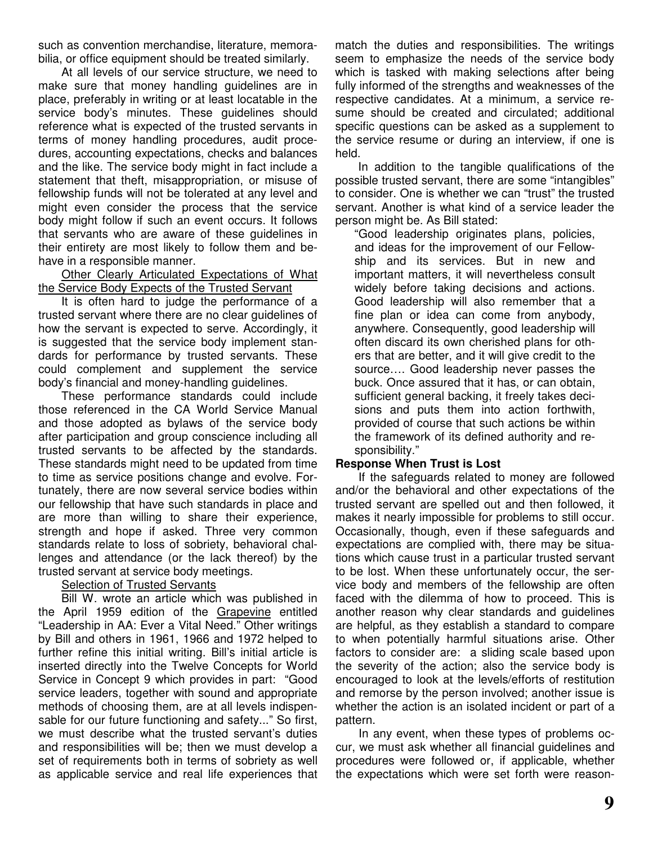such as convention merchandise, literature, memorabilia, or office equipment should be treated similarly.

At all levels of our service structure, we need to make sure that money handling guidelines are in place, preferably in writing or at least locatable in the service body's minutes. These guidelines should reference what is expected of the trusted servants in terms of money handling procedures, audit procedures, accounting expectations, checks and balances and the like. The service body might in fact include a statement that theft, misappropriation, or misuse of fellowship funds will not be tolerated at any level and might even consider the process that the service body might follow if such an event occurs. It follows that servants who are aware of these guidelines in their entirety are most likely to follow them and behave in a responsible manner.

Other Clearly Articulated Expectations of What the Service Body Expects of the Trusted Servant

It is often hard to judge the performance of a trusted servant where there are no clear guidelines of how the servant is expected to serve. Accordingly, it is suggested that the service body implement standards for performance by trusted servants. These could complement and supplement the service body's financial and money-handling guidelines.

These performance standards could include those referenced in the CA World Service Manual and those adopted as bylaws of the service body after participation and group conscience including all trusted servants to be affected by the standards. These standards might need to be updated from time to time as service positions change and evolve. Fortunately, there are now several service bodies within our fellowship that have such standards in place and are more than willing to share their experience, strength and hope if asked. Three very common standards relate to loss of sobriety, behavioral challenges and attendance (or the lack thereof) by the trusted servant at service body meetings.

#### **Selection of Trusted Servants**

Bill W. wrote an article which was published in the April 1959 edition of the Grapevine entitled "Leadership in AA: Ever a Vital Need." Other writings by Bill and others in 1961, 1966 and 1972 helped to further refine this initial writing. Bill's initial article is inserted directly into the Twelve Concepts for World Service in Concept 9 which provides in part: "Good service leaders, together with sound and appropriate methods of choosing them, are at all levels indispensable for our future functioning and safety..." So first, we must describe what the trusted servant's duties and responsibilities will be; then we must develop a set of requirements both in terms of sobriety as well as applicable service and real life experiences that

match the duties and responsibilities. The writings seem to emphasize the needs of the service body which is tasked with making selections after being fully informed of the strengths and weaknesses of the respective candidates. At a minimum, a service resume should be created and circulated; additional specific questions can be asked as a supplement to the service resume or during an interview, if one is held.

In addition to the tangible qualifications of the possible trusted servant, there are some "intangibles" to consider. One is whether we can "trust" the trusted servant. Another is what kind of a service leader the person might be. As Bill stated:

"Good leadership originates plans, policies, and ideas for the improvement of our Fellowship and its services. But in new and important matters, it will nevertheless consult widely before taking decisions and actions. Good leadership will also remember that a fine plan or idea can come from anybody, anywhere. Consequently, good leadership will often discard its own cherished plans for others that are better, and it will give credit to the source…. Good leadership never passes the buck. Once assured that it has, or can obtain, sufficient general backing, it freely takes decisions and puts them into action forthwith, provided of course that such actions be within the framework of its defined authority and responsibility."

#### **Response When Trust is Lost**

If the safeguards related to money are followed and/or the behavioral and other expectations of the trusted servant are spelled out and then followed, it makes it nearly impossible for problems to still occur. Occasionally, though, even if these safeguards and expectations are complied with, there may be situations which cause trust in a particular trusted servant to be lost. When these unfortunately occur, the service body and members of the fellowship are often faced with the dilemma of how to proceed. This is another reason why clear standards and guidelines are helpful, as they establish a standard to compare to when potentially harmful situations arise. Other factors to consider are: a sliding scale based upon the severity of the action; also the service body is encouraged to look at the levels/efforts of restitution and remorse by the person involved; another issue is whether the action is an isolated incident or part of a pattern.

In any event, when these types of problems occur, we must ask whether all financial guidelines and procedures were followed or, if applicable, whether the expectations which were set forth were reason-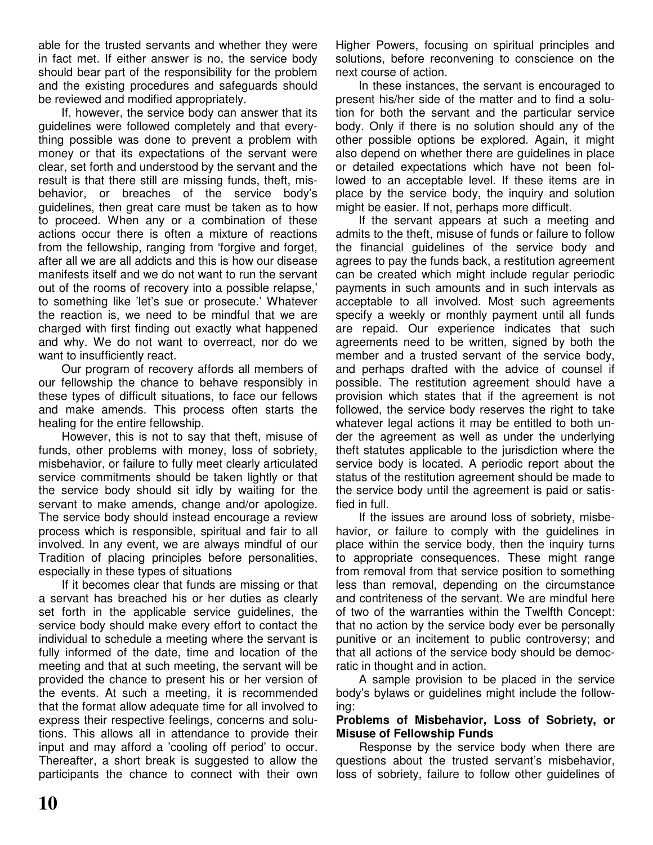able for the trusted servants and whether they were in fact met. If either answer is no, the service body should bear part of the responsibility for the problem and the existing procedures and safeguards should be reviewed and modified appropriately.

If, however, the service body can answer that its guidelines were followed completely and that everything possible was done to prevent a problem with money or that its expectations of the servant were clear, set forth and understood by the servant and the result is that there still are missing funds, theft, misbehavior, or breaches of the service body's guidelines, then great care must be taken as to how to proceed. When any or a combination of these actions occur there is often a mixture of reactions from the fellowship, ranging from 'forgive and forget, after all we are all addicts and this is how our disease manifests itself and we do not want to run the servant out of the rooms of recovery into a possible relapse,' to something like 'let's sue or prosecute.' Whatever the reaction is, we need to be mindful that we are charged with first finding out exactly what happened and why. We do not want to overreact, nor do we want to insufficiently react.

Our program of recovery affords all members of our fellowship the chance to behave responsibly in these types of difficult situations, to face our fellows and make amends. This process often starts the healing for the entire fellowship.

However, this is not to say that theft, misuse of funds, other problems with money, loss of sobriety, misbehavior, or failure to fully meet clearly articulated service commitments should be taken lightly or that the service body should sit idly by waiting for the servant to make amends, change and/or apologize. The service body should instead encourage a review process which is responsible, spiritual and fair to all involved. In any event, we are always mindful of our Tradition of placing principles before personalities, especially in these types of situations

If it becomes clear that funds are missing or that a servant has breached his or her duties as clearly set forth in the applicable service guidelines, the service body should make every effort to contact the individual to schedule a meeting where the servant is fully informed of the date, time and location of the meeting and that at such meeting, the servant will be provided the chance to present his or her version of the events. At such a meeting, it is recommended that the format allow adequate time for all involved to express their respective feelings, concerns and solutions. This allows all in attendance to provide their input and may afford a 'cooling off period' to occur. Thereafter, a short break is suggested to allow the participants the chance to connect with their own Higher Powers, focusing on spiritual principles and solutions, before reconvening to conscience on the next course of action.

In these instances, the servant is encouraged to present his/her side of the matter and to find a solution for both the servant and the particular service body. Only if there is no solution should any of the other possible options be explored. Again, it might also depend on whether there are guidelines in place or detailed expectations which have not been followed to an acceptable level. If these items are in place by the service body, the inquiry and solution might be easier. If not, perhaps more difficult.

If the servant appears at such a meeting and admits to the theft, misuse of funds or failure to follow the financial guidelines of the service body and agrees to pay the funds back, a restitution agreement can be created which might include regular periodic payments in such amounts and in such intervals as acceptable to all involved. Most such agreements specify a weekly or monthly payment until all funds are repaid. Our experience indicates that such agreements need to be written, signed by both the member and a trusted servant of the service body, and perhaps drafted with the advice of counsel if possible. The restitution agreement should have a provision which states that if the agreement is not followed, the service body reserves the right to take whatever legal actions it may be entitled to both under the agreement as well as under the underlying theft statutes applicable to the jurisdiction where the service body is located. A periodic report about the status of the restitution agreement should be made to the service body until the agreement is paid or satisfied in full.

If the issues are around loss of sobriety, misbehavior, or failure to comply with the guidelines in place within the service body, then the inquiry turns to appropriate consequences. These might range from removal from that service position to something less than removal, depending on the circumstance and contriteness of the servant. We are mindful here of two of the warranties within the Twelfth Concept: that no action by the service body ever be personally punitive or an incitement to public controversy; and that all actions of the service body should be democratic in thought and in action.

A sample provision to be placed in the service body's bylaws or guidelines might include the following:

#### **Problems of Misbehavior, Loss of Sobriety, or Misuse of Fellowship Funds**

Response by the service body when there are questions about the trusted servant's misbehavior, loss of sobriety, failure to follow other guidelines of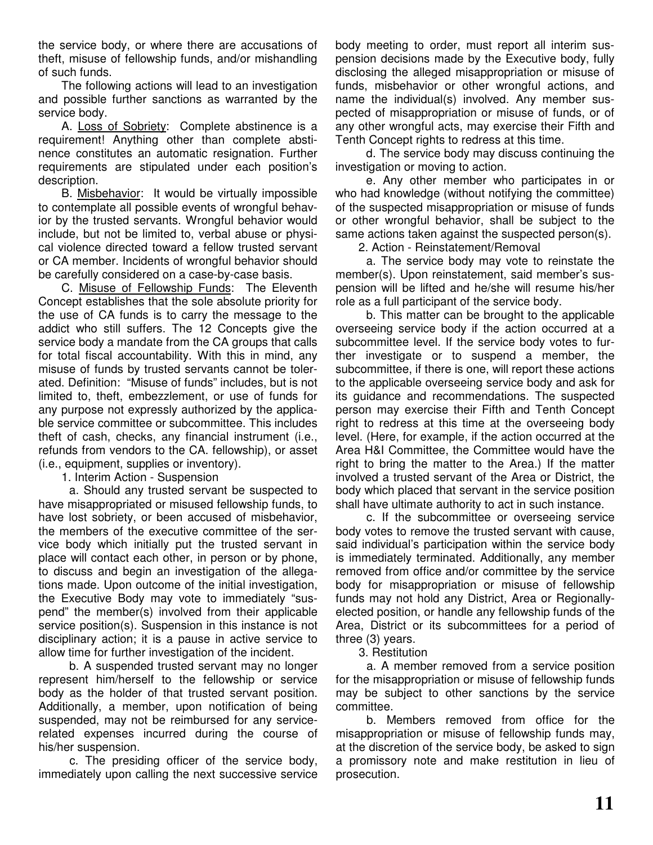the service body, or where there are accusations of theft, misuse of fellowship funds, and/or mishandling of such funds.

The following actions will lead to an investigation and possible further sanctions as warranted by the service body.

A. Loss of Sobriety: Complete abstinence is a requirement! Anything other than complete abstinence constitutes an automatic resignation. Further requirements are stipulated under each position's description.

B. Misbehavior: It would be virtually impossible to contemplate all possible events of wrongful behavior by the trusted servants. Wrongful behavior would include, but not be limited to, verbal abuse or physical violence directed toward a fellow trusted servant or CA member. Incidents of wrongful behavior should be carefully considered on a case-by-case basis.

C. Misuse of Fellowship Funds: The Eleventh Concept establishes that the sole absolute priority for the use of CA funds is to carry the message to the addict who still suffers. The 12 Concepts give the service body a mandate from the CA groups that calls for total fiscal accountability. With this in mind, any misuse of funds by trusted servants cannot be tolerated. Definition: "Misuse of funds" includes, but is not limited to, theft, embezzlement, or use of funds for any purpose not expressly authorized by the applicable service committee or subcommittee. This includes theft of cash, checks, any financial instrument (i.e., refunds from vendors to the CA. fellowship), or asset (i.e., equipment, supplies or inventory).

1. Interim Action - Suspension

a. Should any trusted servant be suspected to have misappropriated or misused fellowship funds, to have lost sobriety, or been accused of misbehavior, the members of the executive committee of the service body which initially put the trusted servant in place will contact each other, in person or by phone, to discuss and begin an investigation of the allegations made. Upon outcome of the initial investigation, the Executive Body may vote to immediately "suspend" the member(s) involved from their applicable service position(s). Suspension in this instance is not disciplinary action; it is a pause in active service to allow time for further investigation of the incident.

b. A suspended trusted servant may no longer represent him/herself to the fellowship or service body as the holder of that trusted servant position. Additionally, a member, upon notification of being suspended, may not be reimbursed for any servicerelated expenses incurred during the course of his/her suspension.

c. The presiding officer of the service body, immediately upon calling the next successive service body meeting to order, must report all interim suspension decisions made by the Executive body, fully disclosing the alleged misappropriation or misuse of funds, misbehavior or other wrongful actions, and name the individual(s) involved. Any member suspected of misappropriation or misuse of funds, or of any other wrongful acts, may exercise their Fifth and Tenth Concept rights to redress at this time.

d. The service body may discuss continuing the investigation or moving to action.

e. Any other member who participates in or who had knowledge (without notifying the committee) of the suspected misappropriation or misuse of funds or other wrongful behavior, shall be subject to the same actions taken against the suspected person(s).

2. Action - Reinstatement/Removal

a. The service body may vote to reinstate the member(s). Upon reinstatement, said member's suspension will be lifted and he/she will resume his/her role as a full participant of the service body.

b. This matter can be brought to the applicable overseeing service body if the action occurred at a subcommittee level. If the service body votes to further investigate or to suspend a member, the subcommittee, if there is one, will report these actions to the applicable overseeing service body and ask for its guidance and recommendations. The suspected person may exercise their Fifth and Tenth Concept right to redress at this time at the overseeing body level. (Here, for example, if the action occurred at the Area H&I Committee, the Committee would have the right to bring the matter to the Area.) If the matter involved a trusted servant of the Area or District, the body which placed that servant in the service position shall have ultimate authority to act in such instance.

c. If the subcommittee or overseeing service body votes to remove the trusted servant with cause, said individual's participation within the service body is immediately terminated. Additionally, any member removed from office and/or committee by the service body for misappropriation or misuse of fellowship funds may not hold any District, Area or Regionallyelected position, or handle any fellowship funds of the Area, District or its subcommittees for a period of three (3) years.

3. Restitution

a. A member removed from a service position for the misappropriation or misuse of fellowship funds may be subject to other sanctions by the service committee.

b. Members removed from office for the misappropriation or misuse of fellowship funds may, at the discretion of the service body, be asked to sign a promissory note and make restitution in lieu of prosecution.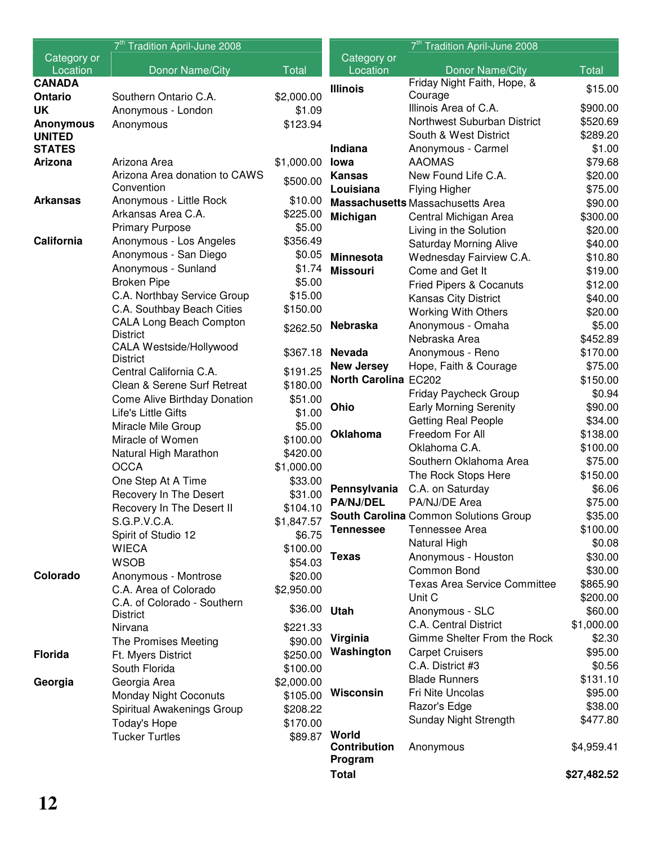|                  | 7 <sup>th</sup> Tradition April-June 2008   |                        |                             | 7 <sup>th</sup> Tradition April-June 2008                   |                     |
|------------------|---------------------------------------------|------------------------|-----------------------------|-------------------------------------------------------------|---------------------|
| Category or      |                                             |                        | Category or                 |                                                             |                     |
| Location         | <b>Donor Name/City</b>                      | <b>Total</b>           | Location                    | Donor Name/City                                             | <b>Total</b>        |
| <b>CANADA</b>    |                                             |                        | <b>Illinois</b>             | Friday Night Faith, Hope, &                                 | \$15.00             |
| Ontario          | Southern Ontario C.A.                       | \$2,000.00             |                             | Courage                                                     |                     |
| <b>UK</b>        | Anonymous - London                          | \$1.09                 |                             | Illinois Area of C.A.                                       | \$900.00            |
| <b>Anonymous</b> | Anonymous                                   | \$123.94               |                             | Northwest Suburban District                                 | \$520.69            |
| <b>UNITED</b>    |                                             |                        |                             | South & West District                                       | \$289.20            |
| <b>STATES</b>    |                                             |                        | <b>Indiana</b>              | Anonymous - Carmel                                          | \$1.00              |
| <b>Arizona</b>   | Arizona Area                                | \$1,000.00             | lowa                        | <b>AAOMAS</b>                                               | \$79.68             |
|                  | Arizona Area donation to CAWS<br>Convention | \$500.00               | <b>Kansas</b>               | New Found Life C.A.                                         | \$20.00             |
| <b>Arkansas</b>  | Anonymous - Little Rock                     | \$10.00                | Louisiana                   | <b>Flying Higher</b>                                        | \$75.00             |
|                  | Arkansas Area C.A.                          | \$225.00               |                             | <b>Massachusetts Massachusetts Area</b>                     | \$90.00             |
|                  | <b>Primary Purpose</b>                      | \$5.00                 | Michigan                    | Central Michigan Area                                       | \$300.00            |
| California       | Anonymous - Los Angeles                     | \$356.49               |                             | Living in the Solution                                      | \$20.00             |
|                  | Anonymous - San Diego                       | \$0.05                 | <b>Minnesota</b>            | <b>Saturday Morning Alive</b>                               | \$40.00             |
|                  | Anonymous - Sunland                         | \$1.74                 |                             | Wednesday Fairview C.A.                                     | \$10.80             |
|                  | <b>Broken Pipe</b>                          | \$5.00                 | <b>Missouri</b>             | Come and Get It                                             | \$19.00             |
|                  | C.A. Northbay Service Group                 | \$15.00                |                             | <b>Fried Pipers &amp; Cocanuts</b>                          | \$12.00             |
|                  | C.A. Southbay Beach Cities                  | \$150.00               |                             | Kansas City District                                        | \$40.00             |
|                  | <b>CALA Long Beach Compton</b>              |                        |                             | <b>Working With Others</b>                                  | \$20.00             |
|                  | <b>District</b>                             | \$262.50               | Nebraska                    | Anonymous - Omaha<br>Nebraska Area                          | \$5.00              |
|                  | <b>CALA Westside/Hollywood</b>              |                        |                             |                                                             | \$452.89            |
|                  | <b>District</b>                             | \$367.18               | <b>Nevada</b>               | Anonymous - Reno                                            | \$170.00            |
|                  | Central California C.A.                     | \$191.25               | <b>New Jersey</b>           | Hope, Faith & Courage                                       | \$75.00             |
|                  | Clean & Serene Surf Retreat                 | \$180.00               | <b>North Carolina EC202</b> |                                                             | \$150.00            |
|                  | Come Alive Birthday Donation                | \$51.00                | Ohio                        | Friday Paycheck Group                                       | \$0.94              |
|                  | Life's Little Gifts                         | \$1.00                 |                             | <b>Early Morning Serenity</b><br><b>Getting Real People</b> | \$90.00             |
|                  | Miracle Mile Group                          | \$5.00                 | <b>Oklahoma</b>             | Freedom For All                                             | \$34.00<br>\$138.00 |
|                  | Miracle of Women                            | \$100.00               |                             | Oklahoma C.A.                                               | \$100.00            |
|                  | Natural High Marathon                       | \$420.00               |                             | Southern Oklahoma Area                                      | \$75.00             |
|                  | <b>OCCA</b>                                 | \$1,000.00             |                             | The Rock Stops Here                                         | \$150.00            |
|                  | One Step At A Time                          | \$33.00                | Pennsylvania                | C.A. on Saturday                                            | \$6.06              |
|                  | Recovery In The Desert                      | \$31.00                | <b>PA/NJ/DEL</b>            | PA/NJ/DE Area                                               | \$75.00             |
|                  | Recovery In The Desert II                   | \$104.10               |                             | South Carolina Common Solutions Group                       | \$35.00             |
|                  | S.G.P.V.C.A.                                | \$1,847.57             | <b>Tennessee</b>            | Tennessee Area                                              | \$100.00            |
|                  | Spirit of Studio 12                         | \$6.75                 |                             | Natural High                                                | \$0.08              |
|                  | <b>WIECA</b>                                | \$100.00               | <b>Texas</b>                | Anonymous - Houston                                         | \$30.00             |
|                  | <b>WSOB</b>                                 | \$54.03                |                             | Common Bond                                                 | \$30.00             |
| Colorado         | Anonymous - Montrose                        | \$20.00                |                             | <b>Texas Area Service Committee</b>                         | \$865.90            |
|                  | C.A. Area of Colorado                       | \$2,950.00             |                             | Unit C                                                      | \$200.00            |
|                  | C.A. of Colorado - Southern                 | \$36.00                | Utah                        | Anonymous - SLC                                             | \$60.00             |
|                  | <b>District</b><br>Nirvana                  | \$221.33               |                             | C.A. Central District                                       | \$1,000.00          |
|                  |                                             | \$90.00                | Virginia                    | Gimme Shelter From the Rock                                 | \$2.30              |
| <b>Florida</b>   | The Promises Meeting                        | \$250.00               | Washington                  | <b>Carpet Cruisers</b>                                      | \$95.00             |
|                  | Ft. Myers District                          |                        |                             | C.A. District #3                                            | \$0.56              |
| Georgia          | South Florida<br>Georgia Area               | \$100.00<br>\$2,000.00 |                             | <b>Blade Runners</b>                                        | \$131.10            |
|                  | <b>Monday Night Coconuts</b>                | \$105.00               | Wisconsin                   | Fri Nite Uncolas                                            | \$95.00             |
|                  | Spiritual Awakenings Group                  | \$208.22               |                             | Razor's Edge                                                | \$38.00             |
|                  | Today's Hope                                | \$170.00               |                             | Sunday Night Strength                                       | \$477.80            |
|                  | <b>Tucker Turtles</b>                       | \$89.87 World          |                             |                                                             |                     |
|                  |                                             |                        | <b>Contribution</b>         | Anonymous                                                   | \$4,959.41          |
|                  |                                             |                        | Program                     |                                                             |                     |
|                  |                                             |                        | <b>Total</b>                |                                                             | \$27,482.52         |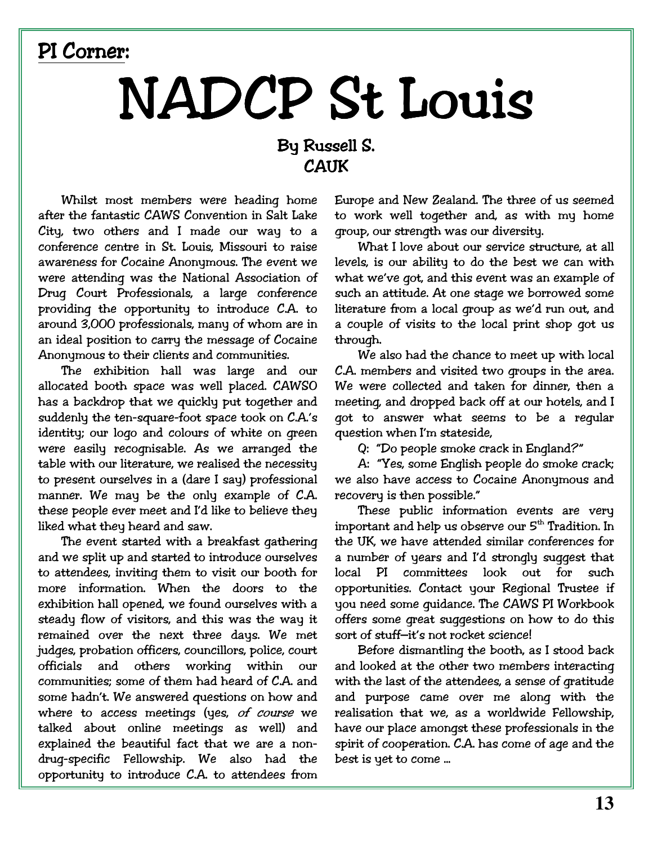### PI Corner:

# NADCP St Louis

### By Russell S. **CATIK**

Whilst most members were heading home after the fantastic CAWS Convention in Salt Lake City, two others and I made our way to a conference centre in St. Louis, Missouri to raise awareness for Cocaine Anonymous. The event we were attending was the National Association of Drug Court Professionals, a large conference providing the opportunity to introduce C.A. to around 3,000 professionals, many of whom are in an ideal position to carry the message of Cocaine Anonymous to their clients and communities.

The exhibition hall was large and our allocated booth space was well placed. CAWSO has a backdrop that we quickly put together and suddenly the ten-square-foot space took on C.A.'s identity; our logo and colours of white on green were easily recognisable. As we arranged the table with our literature, we realised the necessity to present ourselves in a (dare I say) professional manner. We may be the only example of C.A. these people ever meet and I'd like to believe they liked what they heard and saw.

The event started with a breakfast gathering and we split up and started to introduce ourselves to attendees, inviting them to visit our booth for more information. When the doors to the exhibition hall opened, we found ourselves with a steady flow of visitors, and this was the way it remained over the next three days. We met judges, probation officers, councillors, police, court officials and others working within  $\Omega$ <sup>11</sup> communities; some of them had heard of C.A. and some hadn't. We answered questions on how and where to access meetings (yes, of course we talked about online meetings as well) and explained the beautiful fact that we are a nondrug-specific Fellowship. We also had the opportunity to introduce C.A. to attendees from

Europe and New Zealand. The three of us seemed to work well together and, as with my home group, our strength was our diversity.

What I love about our service structure, at all levels, is our ability to do the best we can with what we've got, and this event was an example of such an attitude. At one stage we borrowed some literature from a local group as we'd run out, and a couple of visits to the local print shop got us through.

We also had the chance to meet up with local C.A. members and visited two groups in the area. We were collected and taken for dinner, then a meeting, and dropped back off at our hotels, and I got to answer what seems to be a reqular question when I'm stateside,

Q: "Do people smoke crack in England?"

A: "Yes, some English people do smoke crack; we also have access to Cocaine Anonymous and recovery is then possible."

These public information events are very important and help us observe our 5<sup>th</sup> Tradition. In the UK, we have attended similar conferences for a number of years and I'd strongly suggest that local PI committees look out for such opportunities. Contact your Regional Trustee if you need some guidance. The CAWS PI Workbook offers some great suggestions on how to do this sort of stuff-it's not rocket science!

Before dismantling the booth, as I stood back and looked at the other two members interacting with the last of the attendees, a sense of gratitude and purpose came over me along with the realisation that we, as a worldwide Fellowship, have our place amongst these professionals in the spirit of cooperation. C.A. has come of age and the best is yet to come ...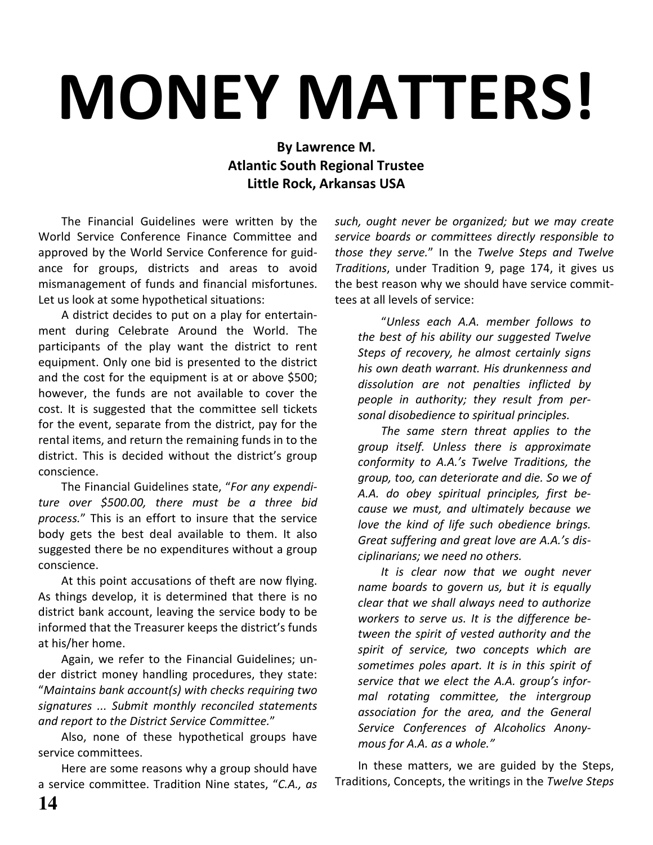# **MONEY MATTERS!**

#### By Lawrence M. **Atlantic South Regional Trustee** Little Rock, Arkansas USA

The Financial Guidelines were written by the World Service Conference Finance Committee and approved by the World Service Conference for guidance for groups, districts and areas to avoid mismanagement of funds and financial misfortunes. Let us look at some hypothetical situations:

A district decides to put on a play for entertainment during Celebrate Around the World. The participants of the play want the district to rent equipment. Only one bid is presented to the district and the cost for the equipment is at or above \$500; however, the funds are not available to cover the cost. It is suggested that the committee sell tickets for the event, separate from the district, pay for the rental items, and return the remaining funds in to the district. This is decided without the district's group conscience.

The Financial Guidelines state, "For any expenditure over \$500.00, there must be a three bid process." This is an effort to insure that the service body gets the best deal available to them. It also suggested there be no expenditures without a group conscience.

At this point accusations of theft are now flying. As things develop, it is determined that there is no district bank account, leaving the service body to be informed that the Treasurer keeps the district's funds at his/her home.

Again, we refer to the Financial Guidelines; under district money handling procedures, they state: "Maintains bank account(s) with checks requiring two signatures ... Submit monthly reconciled statements and report to the District Service Committee."

Also, none of these hypothetical groups have service committees.

Here are some reasons why a group should have a service committee. Tradition Nine states, "C.A., as such, ought never be organized; but we may create service boards or committees directly responsible to those they serve." In the Twelve Steps and Twelve Traditions, under Tradition 9, page 174, it gives us the best reason why we should have service committees at all levels of service:

"Unless each A.A. member follows to the best of his ability our suggested Twelve Steps of recovery, he almost certainly signs his own death warrant. His drunkenness and dissolution are not penalties inflicted by people in authority; they result from personal disobedience to spiritual principles.

The same stern threat applies to the group itself. Unless there is approximate conformity to A.A.'s Twelve Traditions, the group, too, can deteriorate and die. So we of A.A. do obey spiritual principles, first because we must, and ultimately because we love the kind of life such obedience brings. Great suffering and great love are A.A.'s disciplinarians; we need no others.

It is clear now that we ought never name boards to govern us, but it is equally clear that we shall always need to authorize workers to serve us. It is the difference between the spirit of vested authority and the spirit of service, two concepts which are sometimes poles apart. It is in this spirit of service that we elect the A.A. group's informal rotating committee, the intergroup association for the area, and the General Service Conferences of Alcoholics Anonymous for A.A. as a whole."

In these matters, we are guided by the Steps, Traditions, Concepts, the writings in the Twelve Steps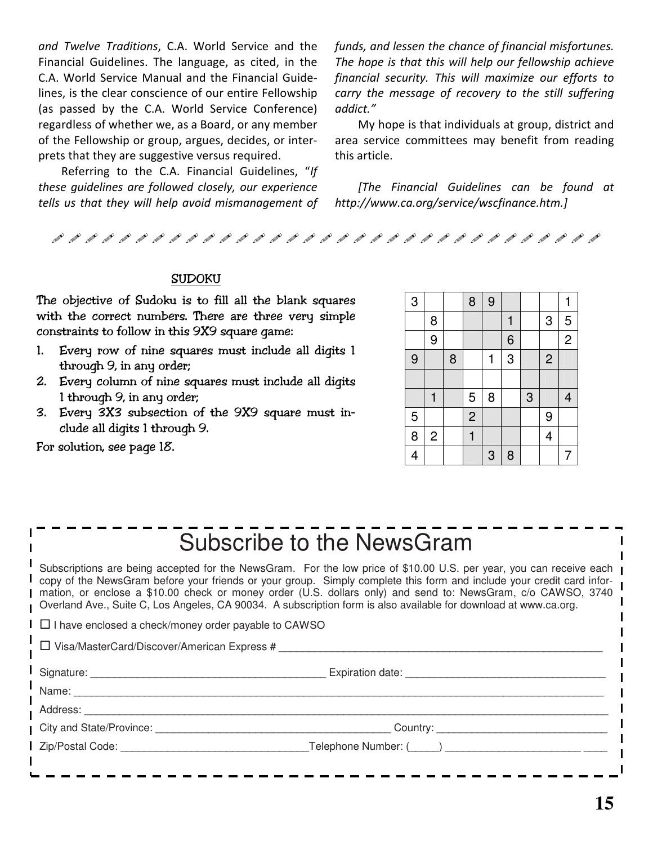and Twelve Traditions, C.A. World Service and the Financial Guidelines. The language, as cited, in the C.A. World Service Manual and the Financial Guidelines, is the clear conscience of our entire Fellowship (as passed by the C.A. World Service Conference) regardless of whether we, as a Board, or any member of the Fellowship or group, argues, decides, or interprets that they are suggestive versus required.

Referring to the C.A. Financial Guidelines, "If these guidelines are followed closely, our experience tells us that they will help avoid mismanagement of funds, and lessen the chance of financial misfortunes. The hope is that this will help our fellowship achieve financial security. This will maximize our efforts to carry the message of recovery to the still suffering addict."

My hope is that individuals at group, district and area service committees may benefit from reading this article.

[The Financial Guidelines can be found at http://www.ca.org/service/wscfinance.htm.]

#### **SUDOKU**

The objective of Sudoku is to fill all the blank squares with the correct numbers. There are three very simple constraints to follow in this 9X9 square game:

- 1. Every row of nine squares must include all digits 1  $through 9$ , in any order;
- 2. Every column of nine squares must include all digits  $l$  through  $9$ , in any order;
- 3. Every 3X3 subsection of the 9X9 square must include all digits 1 through 9.

For solution, see page 18.

| 3              |                |   | 8              | 9 |   |   |                | 1              |
|----------------|----------------|---|----------------|---|---|---|----------------|----------------|
|                | 8              |   |                |   | 1 |   | 3              | 5              |
|                | 9              |   |                |   | 6 |   |                | $\overline{2}$ |
| 9              |                | 8 |                | 1 | 3 |   | $\overline{c}$ |                |
|                |                |   |                |   |   |   |                |                |
|                | 1              |   | 5              | 8 |   | 3 |                | 4              |
| $\sqrt{5}$     |                |   | $\overline{2}$ |   |   |   | 9              |                |
| 8              | $\overline{c}$ |   | $\mathbf{1}$   |   |   |   | 4              |                |
| $\overline{4}$ |                |   |                | 3 | 8 |   |                | 7              |

## Subscribe to the NewsGram

Subscriptions are being accepted for the NewsGram. For the low price of \$10.00 U.S. per year, you can receive each copy of the NewsGram before your friends or your group. Simply complete this form and include your credit card information, or enclose a \$10.00 check or money order (U.S. dollars only) and send to: NewsGram, c/o CAWSO, 3740 Overland Ave., Suite C, Los Angeles, CA 90034. A subscription form is also available for download at www.ca.org.

 $\square$  I have enclosed a check/money order payable to CAWSO

 $\Box$  Visa/MasterCard/Discover/American Express #

| Signat⊔re: | :xpiration date |  |
|------------|-----------------|--|
|            |                 |  |

Name:

Address: \_\_\_\_\_\_\_\_\_\_\_\_\_\_\_\_\_\_\_\_\_\_\_\_\_\_\_\_\_\_\_\_\_\_\_\_\_\_\_\_\_\_\_\_\_\_\_\_\_\_\_\_\_\_\_\_\_\_\_\_\_\_\_\_\_\_\_\_\_\_\_\_\_\_\_\_\_\_\_\_\_\_\_\_\_\_\_\_\_

City and State/Province: \_\_\_\_\_\_\_\_\_\_\_\_\_\_\_\_\_\_\_\_\_\_\_\_\_\_\_\_\_\_\_\_\_\_\_\_\_\_\_\_ Country: \_\_\_\_\_\_\_\_\_\_\_\_\_\_\_\_\_\_\_\_\_\_\_\_\_\_\_\_\_

Zip/Postal Code: \_\_\_\_\_\_\_\_\_\_\_\_\_\_\_\_\_\_\_\_\_\_\_\_\_\_\_\_\_\_\_\_Telephone Number: (\_\_\_\_\_) \_\_\_\_\_\_\_\_\_\_\_\_\_\_\_\_\_\_\_\_\_\_\_ \_\_\_\_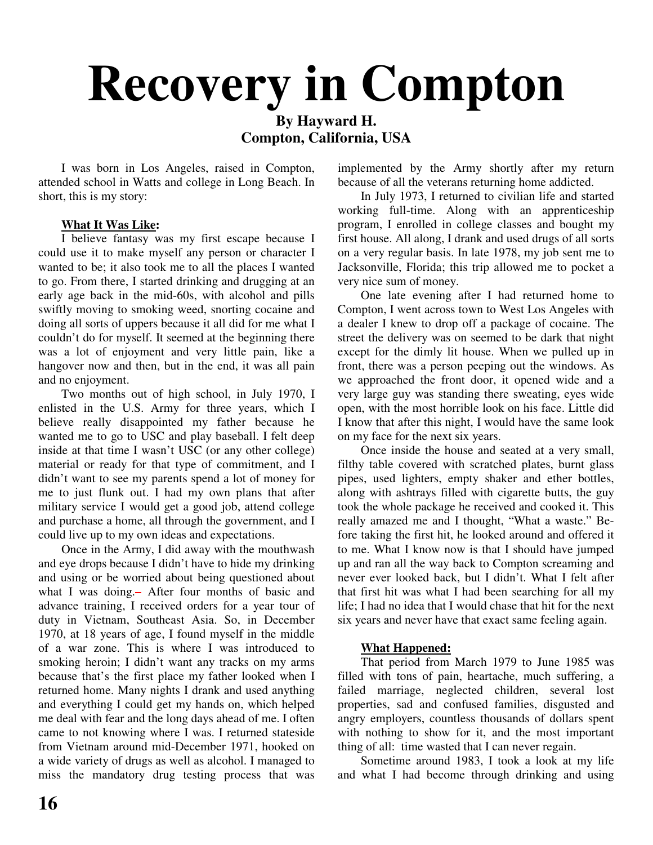# **Recovery in Compton**

#### **By Hayward H. Compton, California, USA**

I was born in Los Angeles, raised in Compton, attended school in Watts and college in Long Beach. In short, this is my story:

#### **What It Was Like:**

I believe fantasy was my first escape because I could use it to make myself any person or character I wanted to be; it also took me to all the places I wanted to go. From there, I started drinking and drugging at an early age back in the mid-60s, with alcohol and pills swiftly moving to smoking weed, snorting cocaine and doing all sorts of uppers because it all did for me what I couldn't do for myself. It seemed at the beginning there was a lot of enjoyment and very little pain, like a hangover now and then, but in the end, it was all pain and no enjoyment.

Two months out of high school, in July 1970, I enlisted in the U.S. Army for three years, which I believe really disappointed my father because he wanted me to go to USC and play baseball. I felt deep inside at that time I wasn't USC (or any other college) material or ready for that type of commitment, and I didn't want to see my parents spend a lot of money for me to just flunk out. I had my own plans that after military service I would get a good job, attend college and purchase a home, all through the government, and I could live up to my own ideas and expectations.

Once in the Army, I did away with the mouthwash and eye drops because I didn't have to hide my drinking and using or be worried about being questioned about what I was doing. After four months of basic and advance training, I received orders for a year tour of duty in Vietnam, Southeast Asia. So, in December 1970, at 18 years of age, I found myself in the middle of a war zone. This is where I was introduced to smoking heroin; I didn't want any tracks on my arms because that's the first place my father looked when I returned home. Many nights I drank and used anything and everything I could get my hands on, which helped me deal with fear and the long days ahead of me. I often came to not knowing where I was. I returned stateside from Vietnam around mid-December 1971, hooked on a wide variety of drugs as well as alcohol. I managed to miss the mandatory drug testing process that was implemented by the Army shortly after my return because of all the veterans returning home addicted.

In July 1973, I returned to civilian life and started working full-time. Along with an apprenticeship program, I enrolled in college classes and bought my first house. All along, I drank and used drugs of all sorts on a very regular basis. In late 1978, my job sent me to Jacksonville, Florida; this trip allowed me to pocket a very nice sum of money.

One late evening after I had returned home to Compton, I went across town to West Los Angeles with a dealer I knew to drop off a package of cocaine. The street the delivery was on seemed to be dark that night except for the dimly lit house. When we pulled up in front, there was a person peeping out the windows. As we approached the front door, it opened wide and a very large guy was standing there sweating, eyes wide open, with the most horrible look on his face. Little did I know that after this night, I would have the same look on my face for the next six years.

Once inside the house and seated at a very small, filthy table covered with scratched plates, burnt glass pipes, used lighters, empty shaker and ether bottles, along with ashtrays filled with cigarette butts, the guy took the whole package he received and cooked it. This really amazed me and I thought, "What a waste." Before taking the first hit, he looked around and offered it to me. What I know now is that I should have jumped up and ran all the way back to Compton screaming and never ever looked back, but I didn't. What I felt after that first hit was what I had been searching for all my life; I had no idea that I would chase that hit for the next six years and never have that exact same feeling again.

#### **What Happened:**

That period from March 1979 to June 1985 was filled with tons of pain, heartache, much suffering, a failed marriage, neglected children, several lost properties, sad and confused families, disgusted and angry employers, countless thousands of dollars spent with nothing to show for it, and the most important thing of all: time wasted that I can never regain.

Sometime around 1983, I took a look at my life and what I had become through drinking and using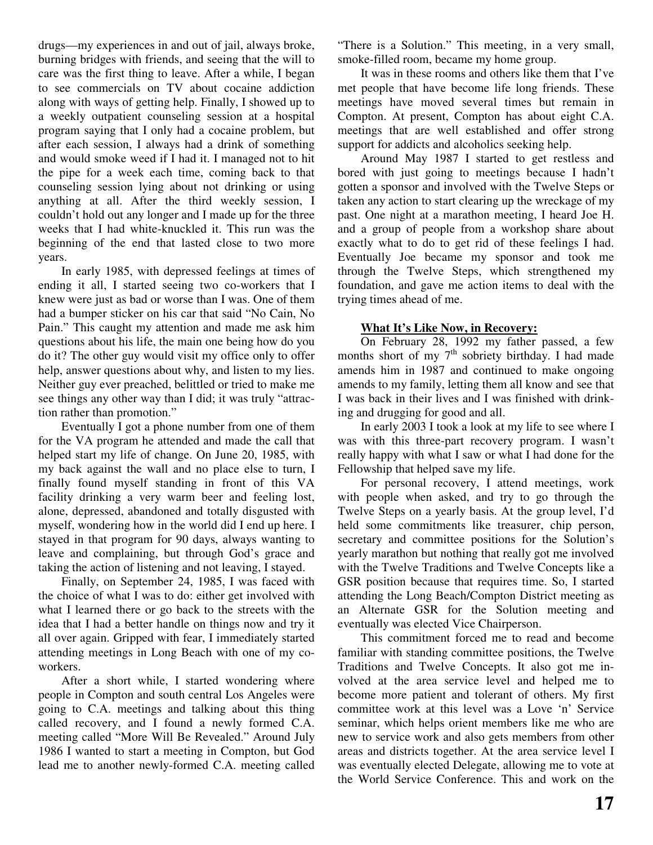drugs—my experiences in and out of jail, always broke, burning bridges with friends, and seeing that the will to care was the first thing to leave. After a while, I began to see commercials on TV about cocaine addiction along with ways of getting help. Finally, I showed up to a weekly outpatient counseling session at a hospital program saying that I only had a cocaine problem, but after each session, I always had a drink of something and would smoke weed if I had it. I managed not to hit the pipe for a week each time, coming back to that counseling session lying about not drinking or using anything at all. After the third weekly session, I couldn't hold out any longer and I made up for the three weeks that I had white-knuckled it. This run was the beginning of the end that lasted close to two more years.

In early 1985, with depressed feelings at times of ending it all, I started seeing two co-workers that I knew were just as bad or worse than I was. One of them had a bumper sticker on his car that said "No Cain, No Pain." This caught my attention and made me ask him questions about his life, the main one being how do you do it? The other guy would visit my office only to offer help, answer questions about why, and listen to my lies. Neither guy ever preached, belittled or tried to make me see things any other way than I did; it was truly "attraction rather than promotion."

Eventually I got a phone number from one of them for the VA program he attended and made the call that helped start my life of change. On June 20, 1985, with my back against the wall and no place else to turn, I finally found myself standing in front of this VA facility drinking a very warm beer and feeling lost, alone, depressed, abandoned and totally disgusted with myself, wondering how in the world did I end up here. I stayed in that program for 90 days, always wanting to leave and complaining, but through God's grace and taking the action of listening and not leaving, I stayed.

Finally, on September 24, 1985, I was faced with the choice of what I was to do: either get involved with what I learned there or go back to the streets with the idea that I had a better handle on things now and try it all over again. Gripped with fear, I immediately started attending meetings in Long Beach with one of my coworkers.

After a short while, I started wondering where people in Compton and south central Los Angeles were going to C.A. meetings and talking about this thing called recovery, and I found a newly formed C.A. meeting called "More Will Be Revealed." Around July 1986 I wanted to start a meeting in Compton, but God lead me to another newly-formed C.A. meeting called

"There is a Solution." This meeting, in a very small, smoke-filled room, became my home group.

It was in these rooms and others like them that I've met people that have become life long friends. These meetings have moved several times but remain in Compton. At present, Compton has about eight C.A. meetings that are well established and offer strong support for addicts and alcoholics seeking help.

Around May 1987 I started to get restless and bored with just going to meetings because I hadn't gotten a sponsor and involved with the Twelve Steps or taken any action to start clearing up the wreckage of my past. One night at a marathon meeting, I heard Joe H. and a group of people from a workshop share about exactly what to do to get rid of these feelings I had. Eventually Joe became my sponsor and took me through the Twelve Steps, which strengthened my foundation, and gave me action items to deal with the trying times ahead of me.

#### **What It's Like Now, in Recovery:**

On February 28, 1992 my father passed, a few months short of my 7<sup>th</sup> sobriety birthday. I had made amends him in 1987 and continued to make ongoing amends to my family, letting them all know and see that I was back in their lives and I was finished with drinking and drugging for good and all.

In early 2003 I took a look at my life to see where I was with this three-part recovery program. I wasn't really happy with what I saw or what I had done for the Fellowship that helped save my life.

For personal recovery, I attend meetings, work with people when asked, and try to go through the Twelve Steps on a yearly basis. At the group level, I'd held some commitments like treasurer, chip person, secretary and committee positions for the Solution's yearly marathon but nothing that really got me involved with the Twelve Traditions and Twelve Concepts like a GSR position because that requires time. So, I started attending the Long Beach/Compton District meeting as an Alternate GSR for the Solution meeting and eventually was elected Vice Chairperson.

This commitment forced me to read and become familiar with standing committee positions, the Twelve Traditions and Twelve Concepts. It also got me involved at the area service level and helped me to become more patient and tolerant of others. My first committee work at this level was a Love 'n' Service seminar, which helps orient members like me who are new to service work and also gets members from other areas and districts together. At the area service level I was eventually elected Delegate, allowing me to vote at the World Service Conference. This and work on the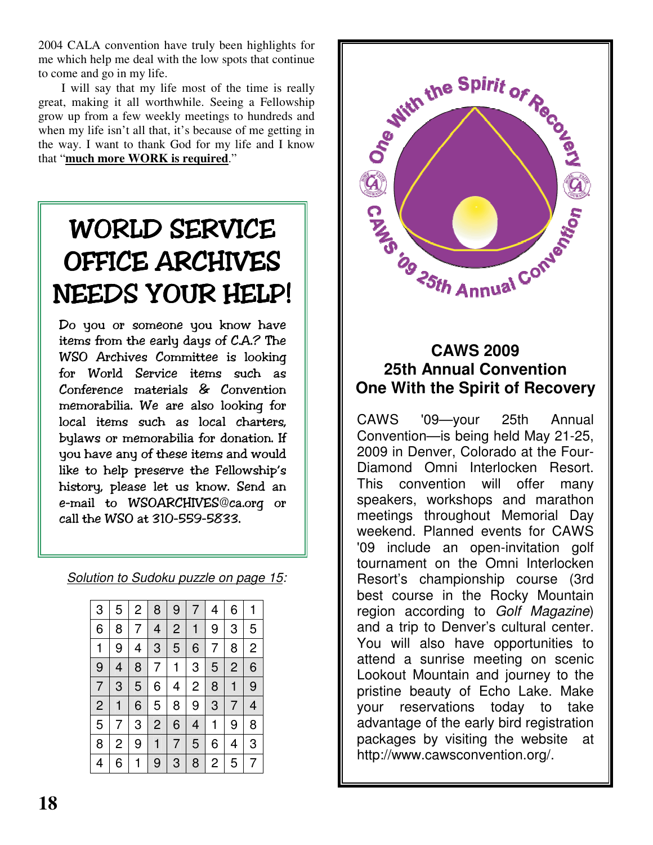2004 CALA convention have truly been highlights for me which help me deal with the low spots that continue to come and go in my life.

I will say that my life most of the time is really great, making it all worthwhile. Seeing a Fellowship grow up from a few weekly meetings to hundreds and when my life isn't all that, it's because of me getting in the way. I want to thank God for my life and I know that "**much more WORK is required**."

## WORLD SERVICE OFFICE ARCHIVES NEEDS YOUR HELP! |

Do you or someone you know have items from the early days of C.A.? The WSO Archives Committee is looking for World Service items such as  $Conference$  materials  $\&$  Convention memorabilia. We are also looking for local items such as local charters. bylaws or memorabilia for donation. If you have any of these items and would like to help preserve the Fellowship's history, please let us know. Send an e-mail to WSOARCHIVES@ca.org or call the WSO at 310-559-5833.

*Solution to Sudoku puzzle on page 15:*

| 3              | 5 | 2 | 8              | 9              | 7 | 4 | 6 | 1 |
|----------------|---|---|----------------|----------------|---|---|---|---|
| 6              | 8 | 7 | 4              | $\overline{c}$ | 1 | 9 | 3 | 5 |
| 1              | 9 | 4 | 3              | 5              | 6 | 7 | 8 | 2 |
| 9              | 4 | 8 | 7              | 1              | 3 | 5 | 2 | 6 |
| $\overline{7}$ | 3 | 5 | 6              | 4              | 2 | 8 | 1 | 9 |
| $\overline{c}$ | 1 | 6 | 5              | 8              | 9 | 3 | 7 | 4 |
| 5              | 7 | 3 | $\overline{c}$ | 6              | 4 | 1 | 9 | 8 |
| 8              | 2 | 9 | 1              | 7              | 5 | 6 | 4 | 3 |
| 4              | 6 |   | 9              | 3              | 8 | 2 | 5 |   |



### **CAWS 2009 25th Annual Convention One With the Spirit of Recovery**

CAWS '09—your 25th Annual Convention—is being held May 21-25, 2009 in Denver, Colorado at the Four-Diamond Omni Interlocken Resort. This convention will offer many speakers, workshops and marathon meetings throughout Memorial Day weekend. Planned events for CAWS '09 include an open-invitation golf tournament on the Omni Interlocken Resort's championship course (3rd best course in the Rocky Mountain region according to *Golf Magazine*) and a trip to Denver's cultural center. You will also have opportunities to attend a sunrise meeting on scenic Lookout Mountain and journey to the pristine beauty of Echo Lake. Make your reservations today to take advantage of the early bird registration packages by visiting the website at http://www.cawsconvention.org/.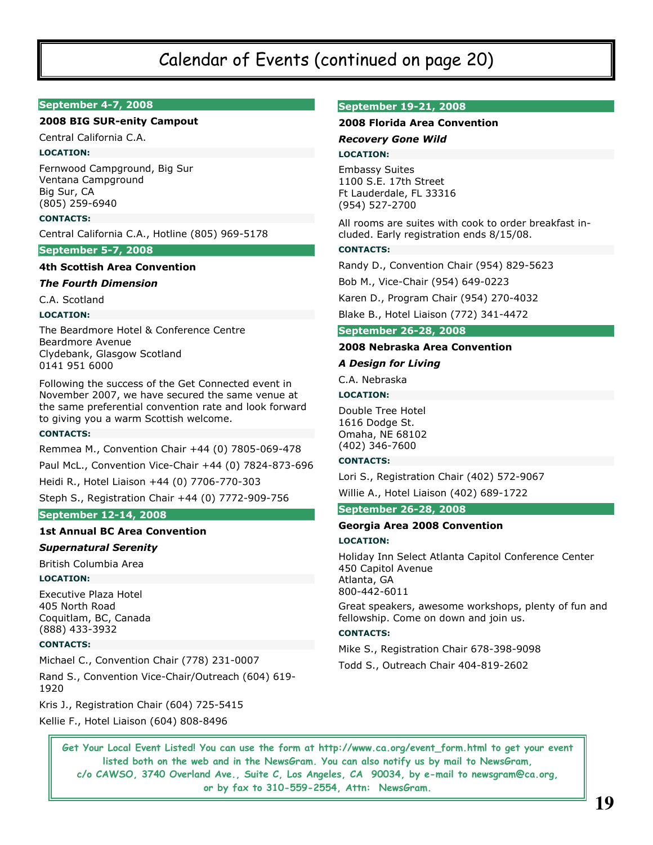### Calendar of Events (continued on page 20)

#### September 4-7, 2008

#### **2008 BIG SUR-enity Campout**

Central California C.A.

#### **LOCATION:**

Fernwood Campground, Big Sur Ventana Campground Big Sur, CA (805) 259-6940

#### **CONTACTS:**

Central California C.A., Hotline (805) 969-5178

#### **September 5-7, 2008**

#### **4th Scottish Area Convention**

#### **The Fourth Dimension**

C.A. Scotland

#### **LOCATION:**

The Beardmore Hotel & Conference Centre Beardmore Avenue Clydebank, Glasgow Scotland 0141 951 6000

Following the success of the Get Connected event in November 2007, we have secured the same venue at the same preferential convention rate and look forward to giving you a warm Scottish welcome.

#### **CONTACTS:**

Remmea M., Convention Chair +44 (0) 7805-069-478 Paul McL., Convention Vice-Chair +44 (0) 7824-873-696

Heidi R., Hotel Liaison +44 (0) 7706-770-303 Steph S., Registration Chair +44 (0) 7772-909-756

#### **September 12-14, 2008**

#### **1st Annual BC Area Convention**

#### **Supernatural Serenity**

British Columbia Area

#### **LOCATION:**

**Executive Plaza Hotel** 405 North Road Coquitlam, BC, Canada (888) 433-3932

#### **CONTACTS:**

Michael C., Convention Chair (778) 231-0007

Rand S., Convention Vice-Chair/Outreach (604) 619-1920

Kris J., Registration Chair (604) 725-5415

Kellie F., Hotel Liaison (604) 808-8496

#### **September 19-21, 2008**

#### 2008 Florida Area Convention

**Recovery Gone Wild** 

#### **LOCATION:**

**Embassy Suites** 1100 S.E. 17th Street Ft Lauderdale, FL 33316 (954) 527-2700

All rooms are suites with cook to order breakfast included. Early registration ends 8/15/08.

#### **CONTACTS:**

Randy D., Convention Chair (954) 829-5623

Bob M., Vice-Chair (954) 649-0223

Karen D., Program Chair (954) 270-4032

Blake B., Hotel Liaison (772) 341-4472

#### **September 26-28, 2008**

#### 2008 Nebraska Area Convention

#### **A Design for Living**

C.A. Nebraska

#### **LOCATION:**

Double Tree Hotel 1616 Dodge St. Omaha, NE 68102 (402) 346-7600

#### **CONTACTS:**

Lori S., Registration Chair (402) 572-9067

Willie A., Hotel Liaison (402) 689-1722

#### **September 26-28, 2008**

#### Georgia Area 2008 Convention

#### **LOCATION:**

Holiday Inn Select Atlanta Capitol Conference Center 450 Capitol Avenue Atlanta, GA 800-442-6011

Great speakers, awesome workshops, plenty of fun and fellowship. Come on down and join us.

#### **CONTACTS:**

Mike S., Registration Chair 678-398-9098

Todd S., Outreach Chair 404-819-2602

Get Your Local Event Listed! You can use the form at http://www.ca.org/event\_form.html to get your event listed both on the web and in the NewsGram. You can also notify us by mail to NewsGram, c/o CAWSO, 3740 Overland Ave., Suite C, Los Angeles, CA 90034, by e-mail to newsgram@ca.org, or by fax to 310-559-2554, Attn: NewsGram.